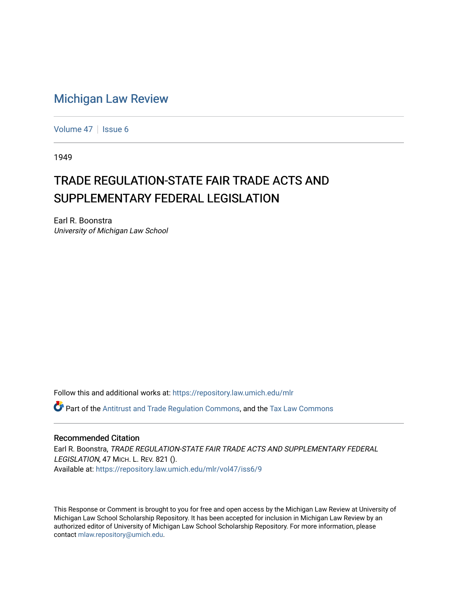# [Michigan Law Review](https://repository.law.umich.edu/mlr)

[Volume 47](https://repository.law.umich.edu/mlr/vol47) | [Issue 6](https://repository.law.umich.edu/mlr/vol47/iss6)

1949

# TRADE REGULATION-STATE FAIR TRADE ACTS AND SUPPLEMENTARY FEDERAL LEGISLATION

Earl R. Boonstra University of Michigan Law School

Follow this and additional works at: [https://repository.law.umich.edu/mlr](https://repository.law.umich.edu/mlr?utm_source=repository.law.umich.edu%2Fmlr%2Fvol47%2Fiss6%2F9&utm_medium=PDF&utm_campaign=PDFCoverPages) 

Part of the [Antitrust and Trade Regulation Commons,](http://network.bepress.com/hgg/discipline/911?utm_source=repository.law.umich.edu%2Fmlr%2Fvol47%2Fiss6%2F9&utm_medium=PDF&utm_campaign=PDFCoverPages) and the [Tax Law Commons](http://network.bepress.com/hgg/discipline/898?utm_source=repository.law.umich.edu%2Fmlr%2Fvol47%2Fiss6%2F9&utm_medium=PDF&utm_campaign=PDFCoverPages) 

# Recommended Citation

Earl R. Boonstra, TRADE REGULATION-STATE FAIR TRADE ACTS AND SUPPLEMENTARY FEDERAL LEGISLATION, 47 MICH. L. REV. 821 (). Available at: [https://repository.law.umich.edu/mlr/vol47/iss6/9](https://repository.law.umich.edu/mlr/vol47/iss6/9?utm_source=repository.law.umich.edu%2Fmlr%2Fvol47%2Fiss6%2F9&utm_medium=PDF&utm_campaign=PDFCoverPages)

This Response or Comment is brought to you for free and open access by the Michigan Law Review at University of Michigan Law School Scholarship Repository. It has been accepted for inclusion in Michigan Law Review by an authorized editor of University of Michigan Law School Scholarship Repository. For more information, please contact [mlaw.repository@umich.edu](mailto:mlaw.repository@umich.edu).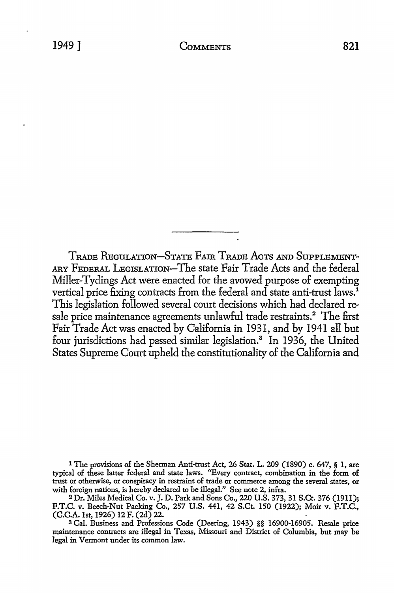TRADE REGULATION-STATE FAIR TRADE AcTs AND SuPPLEMENT-ARY FEDERAL LEGISLATION-The state Fair Trade Acts and the federal Miller-Tydings Act were enacted for the avowed purpose of exempting vertical price fixing contracts from the federal and state anti-trust laws.<sup>1</sup> This legislation followed several court decisions which had declared resale price maintenance agreements unlawful trade restraints.<sup>2</sup> The first Fair Trade Act was enacted by California in 1931, and by 1941 all but four jurisdictions had passed similar legislation.<sup>3</sup> In 1936, the United States Supreme Court upheld the constitutionality of the California and

l The provisions of the Sherman Anti-trust Act, 26 Stat. L. 209 (1890) c. 647, § **1, are**  typical of these latter federal and state laws. "Every contract, combination in the form **of**  trust or otherwise, or conspiracy in restraint of trade or commerce among the several states, or with foreign nations, is hereby declared to be illegal." See note 2, infra.

<sup>2</sup>Dr. Miles Medical Co. v. J. D. Park and Sons Co., 220 U.S. 373, 31 S.Ct. 376 (1911); F.T.C. v. Beech-Nut Packing Co., 257 U.S. 441, 42 S.Ct. 150 (1922); Moir v. F.T.C., (C.C.A. 1st, 1926) 12 F. (2d) 22.

<sup>3</sup>Cal. Business and Professions Code (Deering, 1943) §§ 16900-16905. Resale price maintenance contracts are illegal in Texas, Missouri and District of Columbia, but may be legal in Vermont under its common law.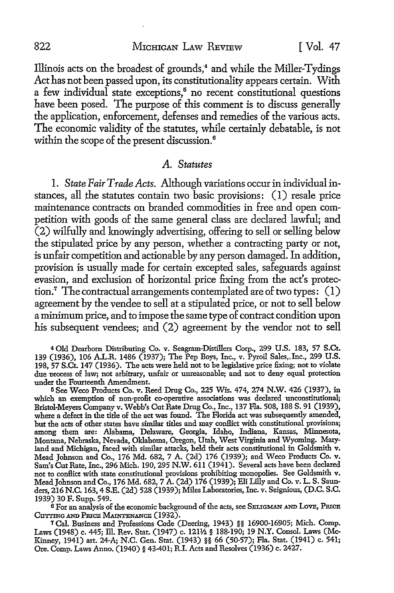Illinois acts on the broadest of grounds;4 and while the Miller-Tydings Act has not been passed upon, its constitutionality appears certain. With a few individual state exceptions, $5$  no recent constitutional questions have been posed. The purpose of this comment is to discuss generally the application, enforcement, defenses and remedies of the various acts. The economic validity of the statutes, while certainly debatable, is not within the scope of the present discussion. <sup>6</sup>

#### *A. Statutes*

I. *State Fair Trade Acts.* Although variations occur in individual instances, all the statutes contain *tvvo* basic provisions: (I) resale price maintenance contracts on branded commodities in free and open competition with goods of the same general class are declared lawful; and (2) wilfully and knowingly advertising, offering to sell or selling below the stipulated price by any person, whether a contracting party or not, is unfair competition and actionable by any person damaged. In addition, provision is usua1ly made for certain excepted sales, safeguards against evasion, and exclusion of horizontal price fixing from the act's protection.7 The contractual arrangements contemplated are of two types: (I) agreement by the vendee to sell at a stipulated price, or not to sell below a minimum price, and to impose the same type of contract condition upon his subsequent vendees; and (2) agreement by the vendor not to sell

<sup>4</sup>Old Dearborn Distributing Co. v. Seagram-Distillers Corp., 299 U.S. 183, 57 S.Ct. 139 (1936), 106 A.L.R. 1486 (1937); The Pep Boys, Inc., v. Pyroil Sales,,Inc., 299 U.S. 198, 57 S.Ct. 147 (1936). The acts were held not to be legislative price fixing; not to violate due process of law; not arbitrary, unfair or unreasonable; and not to deny equal protection under the Fourteenth Amendment.

<sup>5</sup>See Weco Products Co. v. Reed Drug Co., 225 Wis. 474, 274 N.W. 426 (1937), in which an exemption of non-profit co-operative associations was declared unconstitutional; Bristol-Meyers Company v. Webb's Cut Rate Drug Co., Inc., 137 Fla. 508, 188 S. 91 (1939), where a defect in the title of the act was found. The Florida act was subsequently amended, but the acts of other states have similar titles and may conflict with constitutional provisions; among them are: Alabama, Delaware, Georgia, Idaho, Indiana, Kansas, Minnesota, Montana, Nebraska, Nevada, Oklahoma, Oregon, Utah, West Virginia and Wyoming. Maryland and Michigan, faced with similar attacks, held their acts constitutional in Goldsmith v. Mead Johnson and Co., 176 Md. 682, 7 A. (2d) 176 (1939); and Weco Products Co. v. Sam's Cut Rate, Inc., 296 Mich. 190,295 N.W. 611 (1941). Several acts have been declared not to conflict with state constitutional provisions prohibiting monopolies. See Goldsmith v. Mead Johnson and Co., 176 Md. 682, 7 A. (2d) 176 (1939); Eli Lilly and Co. v. L. S. Saunders, 216 N.C. 163, 4 S.E. (2d) 528 (1939); Miles Laboratories, Inc. v. Seignious, (D.C. S.C. 1939) 30 F. Supp. 549.

<sup>6</sup>For an analysis of the economic background of the acts, see SELIGMAN AND LoVE, PRICE CUTTING AND PRICE MAINTENANCE (1932).

7Cal. Business and Professions Code (Deering, 1943) §§ 16900-16905; Mich. Comp. Laws (1948) c. 445; ill. Rev. Stat. (1947) c. 121½. § 188-190; 19 N.Y. Consol. Laws (Mc-Kinney, 1941) art. 24-A; N.C. Gen. Stat. (1943) §§ 66 (50-57); Fla. Stat. (1941) c. 541; Ore. Comp. Laws Anno. (1940) § 43-401; R.I. Acts and Resolves (1936) c. 2427.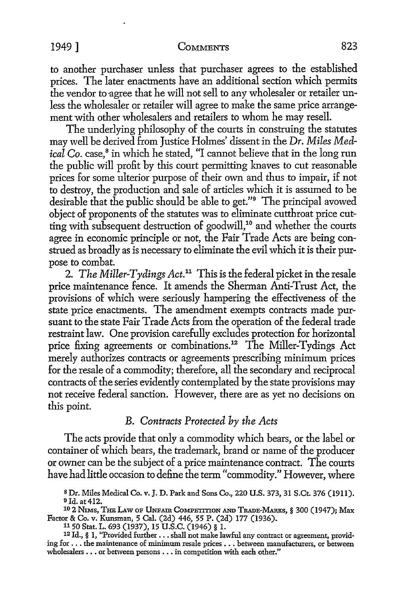to another purchaser unless that purchaser agrees to the established prices. The later enactments have an additional section which permits the vendor to agree that he will not sell to any wholesaler or retailer unless the wholesaler or retailer will agree to make the same price arrangement with other wholesalers and retailers to whom he may resell.

The underlying philosophy of the courts in construing the statutes may well be derived from Justice Holmes' dissent in the *Dr. Miles Medical Co.* case,<sup>8</sup> in which he stated, "I cannot believe that in the long run the public will profit by this court permitting knaves to cut reasonable prices for some ulterior purpose of their own and thus to impair, if not to destroy, the production and sale of articles which it is assumed to be desirable that the public should be able to get."<sup>9</sup> The principal avowed object of proponents of the statutes was to eliminate cutthroat price cutting with subsequent destruction of goodwill,<sup>10</sup> and whether the courts agree in economic principle or not, the Fair Trade Acts are being construed as broadly as is necessary to eliminate the evil which it is their purpose to combat.

2. *The Miller-Tydings Act.11* This is the federal picket in the resale price maintenance fence. It amends the Sherman Anti-Trust Act, the provisions of which were seriously hampering the effectiveness of the state price enactments. The amendment exempts contracts made pursuant to the state Fair Trade Acts from the operation of the federal trade restraint law. One provision carefully excludes protection for horizontal price fixing agreements or combinations.<sup>12</sup> The Miller-Tydings Act merely authorizes contracts or agreements prescribing minimum prices for the resale of a commodity; therefore, all the secondary and reciprocal contracts of the series evidently contemplated by the state provisions may not receive federal sanction. However, there are as yet no decisions on this point.

# *B. Contracts Protected by the Acts*

The acts provide that only a commodity which bears, or the label or container of which bears, the trademark, brand or name of the producer or owner can be the subject of a price maintenance contract. The courts have had little occasion to define the term "commodity." However, where

<sup>10</sup> 2 NIMS, THE LAW OF UNFAIR COMPETITION AND TRADE-MARKS, § 300 (1947); Max Factor & Co. v. Kunsman, 5 Cal. (2d) 446, 55 P. (2d) 177 (1936).<br>11 50 Stat. L. 693 (1937), 15 U.S.C. (1946) § 1.

s Dr. Miles Medical Co. v. J. D. Park and Sons Co., 220 U.S. 373, 31 S.Ct. 376 (1911). 9 Id. at 412.

<sup>12</sup> Id., § 1, "Provided further ... shall not make lawful any contract or agreement, providing for ... the maintenance of minimum resale prices •.. between manufacturers, or between wholesalers .•. or between persons ... in competition with each other."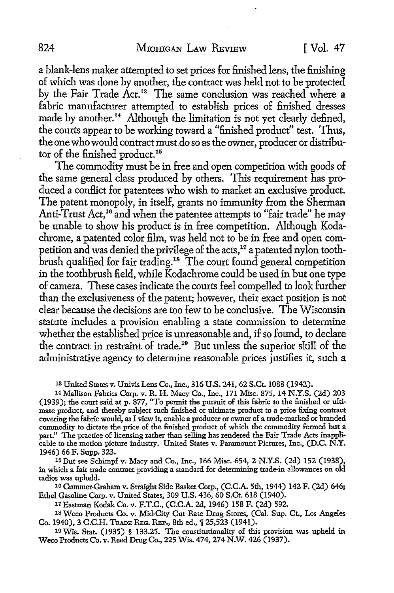a blank-lens maker attempted to set prices for finished lens, the finishing of which was done by another, the contract was held not to be protected by the Fair Trade Act.13 The same conclusion was reached where a fabric manufacturer attempted to establish prices of finished dresses made by another.<sup>14</sup> Although the limitation is not yet clearly defined, the courts appear to be working toward a "finished product" test. Thus, the one who would contract must.do so as the owner, producer or distributor of the finished product.<sup>15</sup>

The commodity must be in free and open competition with goods of the same general class produced by others. This requirement has produced a conflict for patentees who wish to market an exclusive product. The patent monopoly, in itself, grants no immunity from the Sherman Anti-Trust Act,<sup>16</sup> and when the patentee attempts to "fair trade" he may be unable to show his product is in free competition. Although Kodachrome, a patented color film, was held not to be in free and open competition and was denied the privilege of the acts,<sup>17</sup> a patented nylon toothbrush qualified for fair trading.18 The court found general competition in the toothbrush field, while Kodachrome could be used in but one type of camera. These cases indicate the courts feel compelled to look further than the exclusiveness of the patent; however, their exact position is not clear because the decisions are too few to be conclusive. The Wisconsin statute includes a provision enabling a state commission to determine whether the established price is unreasonable and, if so found, to declare the contract in restraint of trade.19 But unless the superior skill of the administrative agency to determine reasonable prices justifies it, such a

1s United States v. Univis Lens Co., Inc., 316 U.S. 241, 62 S.Ct. 1088 (1942).

<sup>14</sup>Mallison Fabrics Corp. v. R.H. Macy Co., Inc., 171 Misc. 875, 14 N.Y.S. (2d) 203 (1939); the court said at p. 877, "To permit the pursuit of this fabric to the finished or ultimate product, and thereby subject such finished or ultimate product to a price fixing contract covering the fabric would, as I view it, enable a producer or owner of a trade-marked or branded commodity to dictate the price of the finished product of which the commodity formed but a part." The practice of licensing rather than selling has rendered the Fair Trade Acts inapplicable to the motion picture industry. United States v. Paramount Pictures, Inc., (D.C. **N.Y.**  1946) 66 F. Supp. 323.

15 But see Schimpf v. Macy and Co., Inc., 166 Misc. 654, 2 N.Y.S. (2d) 152 (1938), in which a fair trade contract providing a standard for determining trade-in allowances on old radios was upheld.

10 Cummer-Graham v. Straight Side Basket Corp., (C.C.A. 5th, 1944) 142 F. (2d) 646; Ethel Gasoline Corp. v. United States, 309 U.S. 436, 60 S.Ct. 618 (1940).

<sup>11</sup>Eastman Kodak Co. v. F.T.C., (C.C.A. 2d, 1946) 158 F. (2d) 592.

1s Weco Products Co. v. Mid-City Cut Rate Drug Stores, (Cal. Sup. Ct., Los Angeles Co. 1940), 3 C.C.H. TRADE REG. REP., 8th ed.,  $\sqrt{25,523}$  (1941).

19 Wis. Stat. (1935) § 133.25. The constitutionality of this provision was upheld in Weco Products Co. v. Reed Drug Co., 225 Wis. 474, 274 N.W. 426 (1937).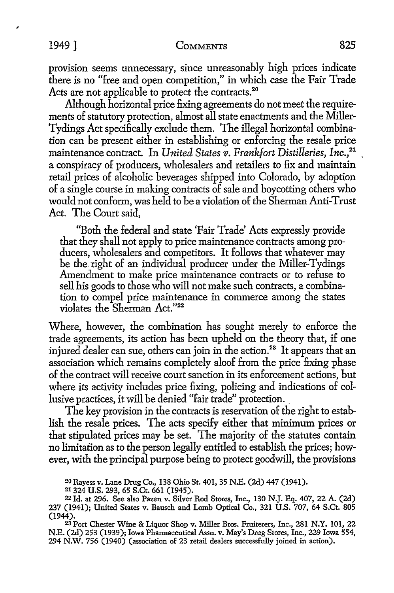provision seems unnecessary, since unreasonably high prices indicate there is no "free and open competition," in which case the Fair Trade Acts are not applicable to protect the contracts.<sup>20</sup>

Although horizontal price fixing agreements do not meet the requirements of statutory protection, almost all state enactments and the Miller-Tydings Act specifically exclude them. The illegal horizontal combination can be present either in establishing or enforcing the resale price maintenance contract. In *United States v. Frankfort Distilleries*, Inc.,<sup>21</sup> a conspiracy of producers, wholesalers and retailers to fix and maintain retail prices of alcoholic beverages shipped into Colorado, by adoption of a single course in making contracts of sale and boycotting others who would not conform, was held to be a violation of the Sherman Anti-Trust Act. The Court said,

"Both the federal and state 'Fair Trade' Acts expressly provide that they shall not apply to price maintenance contracts among producers, wholesalers and competitors. It follows that whatever may be the right of an individual producer under the Miller-Tydings Amendment to make price maintenance contracts or to refuse to sell his goods to those who will not make such contracts, a combination to compel price maintenance in commerce among the states violates the Sherman Act."22

Where, however, the combination has sought merely to enforce the trade agreements, its action has been upheld on the theory that, if one injured dealer can sue, others can join in the action.<sup>23</sup> It appears that an association which remains completely aloof from the price fixing phase of the contract will receive court sanction in its enforcement actions, but where its activity includes price fixing, policing and indications of collusive practices, it will be denied "fair trade" protection.

The key provision in the contracts is reservation of the right to establish the resale prices. The acts specify either that minimum prices or that stipulated prices may be set. The majority of the statutes contain no limitation as to the person legally entitled to establish the prices; however, with the principal purpose being to protect goodwill, the provisions

<sup>20</sup> Rayess v. Lane Drug Co., 138 Ohio St. 401, 35 N.E. (2d) 447 (1941).

<sup>21 324</sup> U.S. 293, 65 S.Ct. 661 (1945).

<sup>22</sup>Id. at 296. See also Pazen v. Silver Rod Stores, Inc., 130 N.J. Eq. 407, 22 A. (2d) 237 (1941); United States v. Bausch and Lomb Optical Co., 321 U.S. 707, 64 S.Ct. 805 (1944).

<sup>&</sup>lt;sup>23</sup> Port Chester Wine & Liquor Shop v. Miller Bros. Fruiterers, Inc., 281 N.Y. 101, 22 N.E. (2d) 253 (1939); Iowa Pharmaceutical Assn. v. May's Drug Stores, Inc., 229 Iowa 554, 294 N.W. 756 (1940) (association of 23 retail dealers successfully joined in action).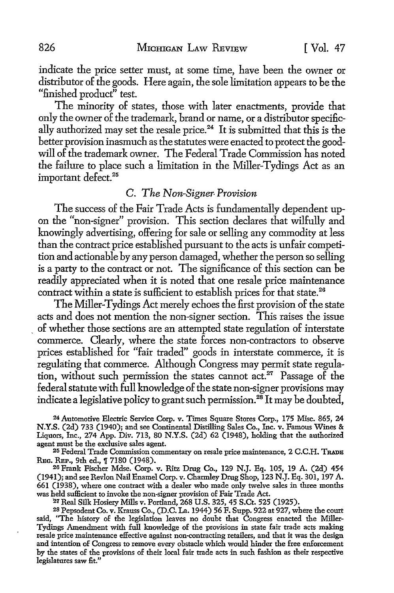indicate the price setter must, at some time, have been the ovmer or distributor of the goods. Here again, the sole limitation appears to be the "finished product'' test.

The minority of states, those with later enactments, provide that only the owner of the trademark, brand or name, or a distributor specifically authorized may set the resale price.<sup>24</sup> It is submitted that this is the better provision inasmuch as the statutes were enacted to protect the goodwill of the trademark owner. The Federal Trade Commission has noted the failure to place such a limitation in the Miller-Tydings Act as an important defect.<sup>25</sup>

#### C. *The Non-Signer• Provision*

The success of the Fair Trade Acts is fundamentally dependent upon the "non-signer" provision. This section declares that wilfully and knowingly advertising, offering for sale or selling any commodity at less than the contract price established pursuant to the acts is unfair competition and actionable by any person damaged, whether the person so selling is a party to the contract or not. The significance of this section can be readily appreciated when it is noted that one resale price maintenance contract within a state is sufficient to establish prices for that state.<sup>26</sup>

The Miller-Tydings Act merely echoes the first provision of the state acts and does not mention the non-signer section. This raises the issue \_ of whether those sections are an attempted state regulation of interstate commerce. Clearly, where the state forces non-contractors to observe prices established for "fair traded" goods in interstate commerce, it is regulating that commerce. Although Congress may permit state regulation, without such permission the states cannot  $act<sup>27</sup>$ . Passage of the federal statute with full knowledge of the state non-signer provisions may indicate a legislative policy to grant such permission.<sup>28</sup> It may be doubted,

24 Automotive Electric Service Corp. v. Times Square Stores Corp., 175 Misc. 865, 24 **N.Y.S.** (2d) 733 (1940); and see Continental Distilling Sales Co., Inc. v. Famous Wines & Liquors, Inc., 274 App. Div. 713, 80 N.Y.S. (2d) 62 (1948), holding that the authorized agent must be the exclusive sales agent.

<sup>25</sup> Federal Trade Commission commentary on resale price maintenance, 2 C.C.H. TRADE<br>REC. REP., 9th ed., ¶ 7180 (1948).

26 Frank Fischer Mdse. Corp. v. Ritz Drug Co., 129 N.J. Eq. 105, 19 A. (2d) 454 (1941); and see Revlon Nail Enamel Corp. v. Charmley Drug Shop, 123 N.J. Eq. 301, 197 A. 661 (1938), where one contract with a dealer who made only twelve sales in three months was held sufficient to invoke the non-signer provision of Fair Trade Act.

*21* Real Silk Hosiery Mills v. Portland, 268 U.S. 325, 45 S.Ct. 525 (1925).

28 Pepsodent Co. v. Krauss Co., (D.C. La. 1944) 56 F. Supp. 922 at 927, where the court said, "The history of the legislation leaves no doubt that Congress enacted the Miller-Tydings Amendment with full knowledge of the provisions in state fair trade acts making resale price maintenance effective against non-contracting retailers, and that it was the design and intention of Congress to remove every obstacle which would hinder the free enforcement by the states of the provisions of their local fair trade acts in such fashion as their respective legislatures saw fit."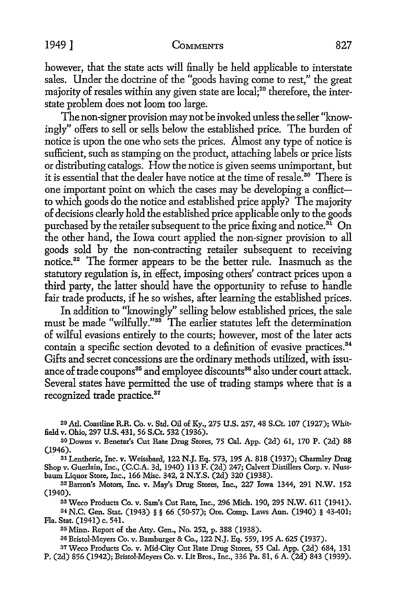however, that the state acts will finally be held applicable *to* interstate sales. Under the doctrine of the "goods having come *to* rest," the great majority of resales within any given state are local;<sup>29</sup> therefore, the interstate problem does not loom too large.

The non-signer provision may not be invoked unless the seller "knowingly" offers *to* sell or sells below the established price. The burden of notice is upon the one who sets the prices. Almost any type of notice is sufficient, such as stamping on the product, attaching labels or price lists or distributing catalogs. How the notice is given seems unimportant, but it is essential that the dealer have notice at the time of resale.<sup>30</sup> There is one important point on which the cases may be developing a conflict*to* which goods do the notice and established price apply? The majority of decisions clearly hold the established price applicable only to the goods purchased by the retailer subsequent to the price fixing and notice.<sup>31</sup> On the other hand, the Iowa court applied the non-signer provision to all goods sold by the non-contracting retailer subsequent *to* receiving notice. <sup>32</sup>The former appears *to* be the better rule. Inasmuch as the statutory regulation is, in effect, imposing others' contract prices upon a third party, the latter should have the opportunity to refuse *to* handle fair trade products, if he so wishes, after learning the established prices.

In addition *to* "knowingly" selling below established prices, the sale must be made "wilfully."88 The earlier statutes left the determination of wilful evasions entirely *to* the courts; however, most of the later acts contain a specific section devoted to a definition of evasive practices.<sup>34</sup> Gifts and secret concessions are the ordinary methods utilized, with issuance of trade coupons<sup>35</sup> and employee discounts<sup>36</sup> also under court attack. Several states have permitted the use of trading stamps where that is a recognized trade practice.<sup>37</sup>

20 Atl. Coastline R.R. Co. v. Std. Oil of Ky., 275 **U.S.** 257, 48 S.Ct. 107 (1927); Whitfield v. Ohio, 297 U.S. 431, 56 S.Ct. 532 (1936).

so Downs v. Benetar's Cut Rate Drug Stores, 75 Cal. App. (2d) 61, 170 P. (2d) 88 (1946).

. 81 Lentheric, Inc. v. Weissbard, 122 N.J. Eq. 573, 195 A. 818 (1937); Charmley Drug Shop v. Guerlain, Inc., (C.C.A. 3d, 1940) 113 F. (2d) 247; Calvert Distillers Corp. v. Nussbaum Liquor Store, Inc., 166 Misc. 342, 2 N.Y.S. (2d) 320 (1938).

<sup>8</sup><sup>2</sup> Barron's Motors, Inc. v. May's Drug Stores, Inc., 227 Iowa 1344, 291 N.W. 152 (1940).

33 Weco Products Co. v. Sam's Cut Rate, Inc., 296 Mich. 190, 295 N.W. 611 (1941).

34 N.C. Gen. Stat. (1943) § § 66 (50-57); Ore. Comp. Laws Ann. (1940) § 43-401; Fla. Stat. (1941) c. 541.

85 Minn. Report of the Atty. Gen., No. 252, p. 388 (1938).

36 Bristol-Meyers Co. v. Bamburger & Co., 122 N.J. Eq. 559, 195 A. 625 (1937).

37 Weco Products Co. v. Mid-City Cut Rate Drug Stores, 55 Cal. App. (2d) 684, 131 P. (2d) 856 (1942); Bristol-Meyers Co. v. Lit Bros., Inc., 336 Pa. 81, 6 A. (2d) 843 (1939).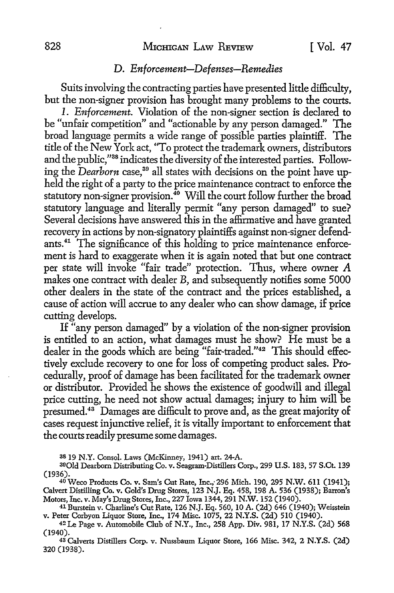# D. *Enforcement-Defenses-Remedies*

Suits involving the contracting parties have presented little difficulty, but the non-signer provision has brought many problems to the courts.

1. *Enforcement.* Violation of the non-signer section is declared to be "unfair competition" and "actionable by any person damaged." The broad language permits a wide range of possible parties plaintiff. The title of the New York act, "To protect the trademark owners, distributors and the public,"38 indicates the diversity of the interested parties. Following the *Dearborn* case,<sup>39</sup> all states with decisions on the point have upheld the right of a party to the price maintenance contract to enforce the statutory non-signer provision.<sup>40</sup> Will the court follow further the broad statutory language and literally permit "any person damaged" to sue? Several decisions have answered this in the affirmative and have granted recovery in actions by non-signatory plaintiffs against non-signer defendants.<sup>41</sup> The significance of this holding to price maintenance enforcement is hard to exaggerate when it is again noted that but one contract per state will invoke "fair trade'' protection. Thus, where owner A makes one contract with dealer B, and subsequently notifies some 5000 other dealers in the state of the contract and the prices established, a cause of action will accrue to any dealer who can show damage, if price cutting develops.

If "any person damaged" by a violation of the non-signer provision is entitled to an action, what damages must he show? He must be a dealer in the goods which are being "fair-traded."42 This should effectively exclude recovery to one for loss of competing product sales. Procedurally, proof of damage has been facilitated for the trademark owner or distributor. Provided he shows the existence of goodwill and illegal price cutting, he need not show actual damages; injury to him will be presumed.43 Damages are difficult to prove and, as the great majority of cases request injunctive relief, it is vitally important to enforcement that the courts readily presume some damages.

3819 N.Y. Consol. Laws (McKinney, 1941) art. 24-A.

<sup>4</sup>0Weco Products Co. v. Sam's Cut Rate, Inc.;296 Mich. 190, 295 N.W. 611 (1941); Calvert Distilling Co. v. Gold's Drug Stores, 123 N.J. Eq. 458, 198 A. 536 (1938); Banon's Motors, Inc. v. May's Drug Stores, Inc., 227 Iowa 1344, 291 N.W. 152 (1940).

41 Burstein v. Charline's Cut Rate, 126 N.J. Eq. 560, 10 A. (2d) 646 (1940); Weisstein v. Peter Corbyon Liquor Store, Inc., 174 Misc. 1075, 22 N.Y.S. (2d) 510 (1940).

42Le Page v. Automobile Club of N.Y., Inc., 258 App. Div. 981, 17 N.Y.S. (2d) 568 (1940).

43 Calverts Distillers Corp. v. Nussbaum Liquor Store, 166 Misc. 342, 2 N.Y.S. (2d) 320 (1938).

<sup>39</sup>Qld Dearborn Distributing Co. v. Seagram-Distillers Corp., 299 U.S. 183, 57 S.Ct. 139 (1936).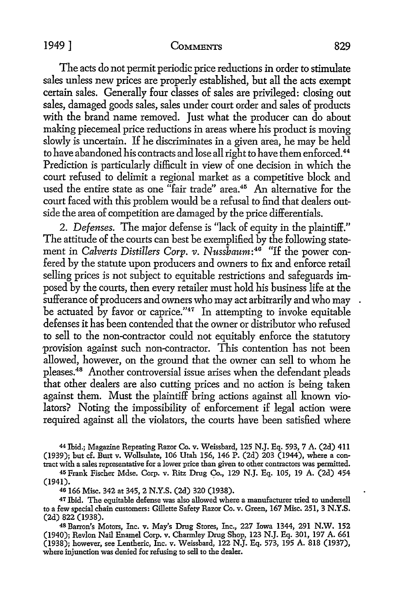The acts do not permit periodic price reductions in order to stimulate sales unless new prices are properly established, but all the acts exempt certain sales. Generally four classes of sales are privileged: closing out sales, damaged goods sales, sales under court order and sales of products with the brand name removed. Just what the producer can do about making piecemeal price reductions in areas where his product is moving slowly is uncertain. If he discriminates in a given area, he may be held to have abandoned his contracts and lose all right to have them enforced. 44

Prediction is particularly difficult in view of one decision in which the court refused to delimit a regional market as a competitive block and used the entire state as one "fair trade" area.<sup>45</sup> An alternative for the court faced with this problem would be a refusal to find that dealers outside the area of competition are damaged by the price differentials.

2. *Defenses.* The major defense is "lack of equity in the plaintiff." The attitude of the courts can best be exemplified by the following statement in *Calverts Distillers Corp. v. Nussbaum*:<sup>46</sup> "If the power confered by the statute upon producers and owners to fix and enforce retail selling prices is not subject to equitable restrictions and safeguards imposed by the courts, then every retailer must hold his business life at the sufferance of producers and owners who may act arbitrarily and who may be actuated by favor or caprice." $47$  In attempting to invoke equitable defenses it has been contended that the owner or distributor who refused to sell to the non-contractor could not equitably enforce the statutory provision against such non-contractor. This contention has not been allowed, however, on the ground that the owner can sell to whom he pleases.<sup>48</sup>Another controversial issue arises when the defendant pleads that other dealers are also cutting prices and no action is being taken against them. Must the plaintiff bring actions against all known violators? Noting the impossibility of enforcement if legal action were required against all the violators, the courts have been satisfied where

<sup>44</sup>Ibid.; Magazine Repeating Razor Co. v. Weissbard, 125 N.J. Eq. 593, 7 A. (2d) 411 (1939); but cf. Burt v. Wollsulate, 106 Utah 156, 146 P. (2d) 203 (1944), where a contract with a sales representative for a lower price than given to other contractors was permitted.

45 Frank Fischer Mdse. Corp. v. Ritz Drug Co., 129 N.J. Eq. 105, 19 A. (2d) 454  $(1941).$ 

46 166 Misc. 342 at 345, 2 N.Y.S. (2d) 320 (1938).

47 Ibid. The equitable defense was also allowed where a manufacturer tried to undersell to a few special chain customers: Gillette Safety Razor Co. v. Green, 167 Misc. 251, 3 N.Y.S. (2d) 822 (1938).

<sup>48</sup>Barron's Motors, Inc. v. May's Drug Stores, Inc., 227 Iowa 1344, 291 N.W. 152 (1940); Revlon Nail Enamel Corp. v. Charmley Drug Shop, 123 N.J. Eq. 301, 197 A. 661 (1938); however, see Lentheric, Inc. v. Weissbard, 122 N.J. Eq. 573, 195 A. 818 (1937), where injunction was denied for refusing to sell to the dealer.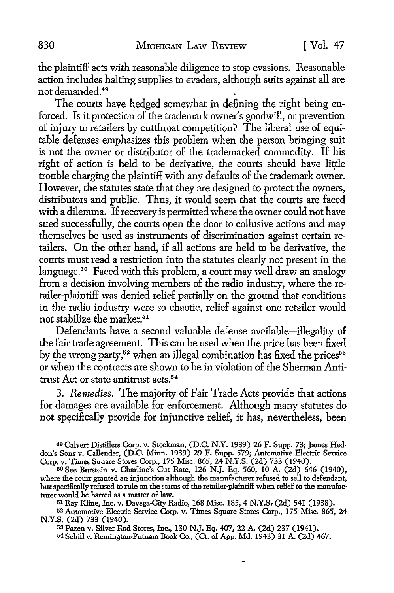the plaintiff acts with reasonabie diligence to stop evasions. Reasonable action includes halting supplies to evaders, although suits against all are not demanded. 49

The courts have hedged somewhat in defining the right being enforced. Is it protection of the trademark owner's goodwill, or prevention of injury to retailers by cutthroat competition? The liberal use of equitable defenses emphasizes this problem when the person bringing suit is not the owner or distributor of the trademarked commodity. If his right of action is held to be derivative, the courts should have little trouble charging the plaintiff with any defaults of the trademark owner. However, the statutes state that they are designed to protect the owners, distributors and public. Thus, it would seem that the courts are faced with a dilemma. If recovery is permitted where the owner could not have sued successfully, the courts open the door to collusive actions and may themselves be used as instruments of discrimination against certain retailers. On the other hand, if all actions are held to be derivative, the courts must read a restriction into the statutes clearly not present in the language.<sup>5</sup> ° Faced with this problem, a court may well draw an analogy from a decision involving members of the radio industry, where the retailer-plaintiff was denied relief partially on the ground that conditions in the radio industry were so chaotic, relief against one retailer would not stabilize the market.<sup>51</sup>

Defendants have a second valuable defense available-illegality of the fair trade agreement. This can be used when the price has been fixed by the wrong party,<sup>52</sup> when an illegal combination has fixed the prices<sup>53</sup> or when the contracts are shown to be in violation of the Sherman Antitrust Act or state antitrust acts.<sup>54</sup>

3. *Remedies.* The majority of Fair Trade Acts provide that actions for damages are available for enforcement. Although many statutes do not specifically provide for injunctive relief, it has, nevertheless, been

49 Calvert Distillers Corp. v. Stockman, (D.C. N.Y. 1939) 26 F. Supp. 73; James Heddon's Sons v. Callender, (D.C. Minn. 1939) 29 F. Supp. 579; Automotive Electric Service Corp. v. Times Square Stores Corp., 175 Misc. 865, 24 N.Y.S. (2d) 733 (1940).

50 See Burstein v. Charline's Cut Rate, 126 N.J. Eq. 560, 10 A. (2d) 646 (1940), where the court granted an injunction although the manufacturer refused to sell to defendant, but specifically refused to rule on the status of the retailer-plaintiff when relief to the manufacturer would be barred as a matter of law.

51 Ray Kline, Inc. v. Davega-City Radio, 168 Misc. 185, 4 N.Y.S, (2d) 541 (1938).

52 Automotive Electric Service Corp. v. Times Square Stores Corp., 175 Misc. 865, 24 N.Y.S. (2d) 733 (1940).

53 Pazen v. Silver Rod Stores, Inc., 130 N.J. Eq. 407, 22 A. (2d) 237 (1941).

54 Schill v. Remington-Putnam Book Co., (Ct. of App. Md. 1943) 31 A. (2d) 467.